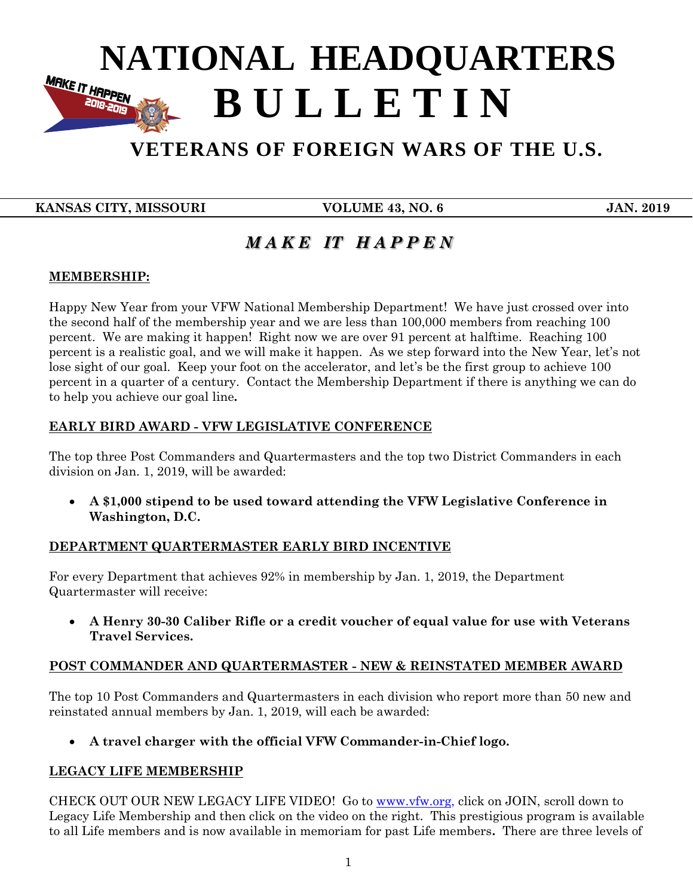# **NATIONAL HEADQUARTERS B U L L E T I N 2018-2019**

# **VETERANS OF FOREIGN WARS OF THE U.S.**

 **KANSAS CITY, MISSOURI VOLUME 43, NO. 6 JAN. 2019**

 **B U L L E T I N**

## *M A K E IT H A P P E N*

#### **MEMBERSHIP:**

Happy New Year from your VFW National Membership Department! We have just crossed over into the second half of the membership year and we are less than 100,000 members from reaching 100 percent. We are making it happen! Right now we are over 91 percent at halftime. Reaching 100 percent is a realistic goal, and we will make it happen. As we step forward into the New Year, let's not lose sight of our goal. Keep your foot on the accelerator, and let's be the first group to achieve 100 percent in a quarter of a century. Contact the Membership Department if there is anything we can do to help you achieve our goal line**.** 

#### **EARLY BIRD AWARD - VFW LEGISLATIVE CONFERENCE**

The top three Post Commanders and Quartermasters and the top two District Commanders in each division on Jan. 1, 2019, will be awarded:

 **A \$1,000 stipend to be used toward attending the VFW Legislative Conference in Washington, D.C.** 

#### **DEPARTMENT QUARTERMASTER EARLY BIRD INCENTIVE**

For every Department that achieves 92% in membership by Jan. 1, 2019, the Department Quartermaster will receive:

 **A Henry 30-30 Caliber Rifle or a credit voucher of equal value for use with Veterans Travel Services.** 

#### **POST COMMANDER AND QUARTERMASTER - NEW & REINSTATED MEMBER AWARD**

The top 10 Post Commanders and Quartermasters in each division who report more than 50 new and reinstated annual members by Jan. 1, 2019, will each be awarded:

**A travel charger with the official VFW Commander-in-Chief logo.**

#### **LEGACY LIFE MEMBERSHIP**

CHECK OUT OUR NEW LEGACY LIFE VIDEO! Go to [www.vfw.org,](http://www.vfw.org/) click on JOIN, scroll down to Legacy Life Membership and then click on the video on the right. This prestigious program is available to all Life members and is now available in memoriam for past Life members**.** There are three levels of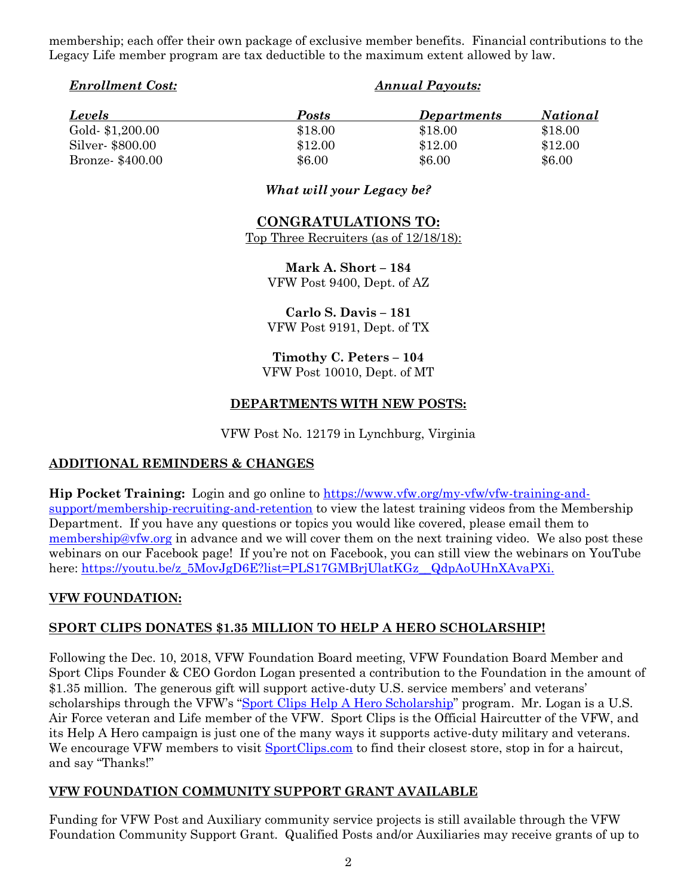membership; each offer their own package of exclusive member benefits. Financial contributions to the Legacy Life member program are tax deductible to the maximum extent allowed by law.

| Posts<br><b>Levels</b><br><b>Departments</b><br>Gold-\$1,200.00<br>\$18.00<br>\$18.00<br>\$18.00<br>Silver-\$800.00<br>\$12.00<br>\$12.00<br>\$12.00<br>\$6.00<br>\$6.00<br>Bronze- \$400.00<br>\$6.00 | <b>Enrollment Cost:</b> | <b>Annual Payouts:</b> |  |                 |
|--------------------------------------------------------------------------------------------------------------------------------------------------------------------------------------------------------|-------------------------|------------------------|--|-----------------|
|                                                                                                                                                                                                        |                         |                        |  | <i>National</i> |
|                                                                                                                                                                                                        |                         |                        |  |                 |
|                                                                                                                                                                                                        |                         |                        |  |                 |
|                                                                                                                                                                                                        |                         |                        |  |                 |

#### *What will your Legacy be?*

### **CONGRATULATIONS TO:**

Top Three Recruiters (as of 12/18/18):

**Mark A. Short – 184** VFW Post 9400, Dept. of AZ

**Carlo S. Davis – 181** VFW Post 9191, Dept. of TX

**Timothy C. Peters – 104** VFW Post 10010, Dept. of MT

#### **DEPARTMENTS WITH NEW POSTS:**

VFW Post No. 12179 in Lynchburg, Virginia

#### **ADDITIONAL REMINDERS & CHANGES**

**Hip Pocket Training:** Login and go online to [https://www.vfw.org/my-vfw/vfw-training-and](https://www.vfw.org/my-vfw/vfw-training-and-support/membership-recruiting-and-retention)[support/membership-recruiting-and-retention](https://www.vfw.org/my-vfw/vfw-training-and-support/membership-recruiting-and-retention) to view the latest training videos from the Membership Department. If you have any questions or topics you would like covered, please email them to [membership@vfw.org](mailto:membership@vfw.org) in advance and we will cover them on the next training video. We also post these webinars on our Facebook page! If you're not on Facebook, you can still view the webinars on YouTube here: [https://youtu.be/z\\_5MovJgD6E?list=PLS17GMBrjUlatKGz\\_\\_QdpAoUHnXAvaPXi.](https://youtu.be/z_5MovJgD6E?list=PLS17GMBrjUlatKGz__QdpAoUHnXAvaPXi)

#### **VFW FOUNDATION:**

#### **SPORT CLIPS DONATES \$1.35 MILLION TO HELP A HERO SCHOLARSHIP!**

Following the Dec. 10, 2018, VFW Foundation Board meeting, VFW Foundation Board Member and Sport Clips Founder & CEO Gordon Logan presented a contribution to the Foundation in the amount of \$1.35 million. The generous gift will support active-duty U.S. service members' and veterans' scholarships through the VFW's "[Sport Clips Help A Hero Scholarship](http://www.sportclips.com/hero)" program. Mr. Logan is a U.S. Air Force veteran and Life member of the VFW. Sport Clips is the Official Haircutter of the VFW, and its Help A Hero campaign is just one of the many ways it supports active-duty military and veterans. We encourage VFW members to visit **SportClips.com** to find their closest store, stop in for a haircut, and say "Thanks!"

#### **VFW FOUNDATION COMMUNITY SUPPORT GRANT AVAILABLE**

Funding for VFW Post and Auxiliary community service projects is still available through the VFW Foundation Community Support Grant. Qualified Posts and/or Auxiliaries may receive grants of up to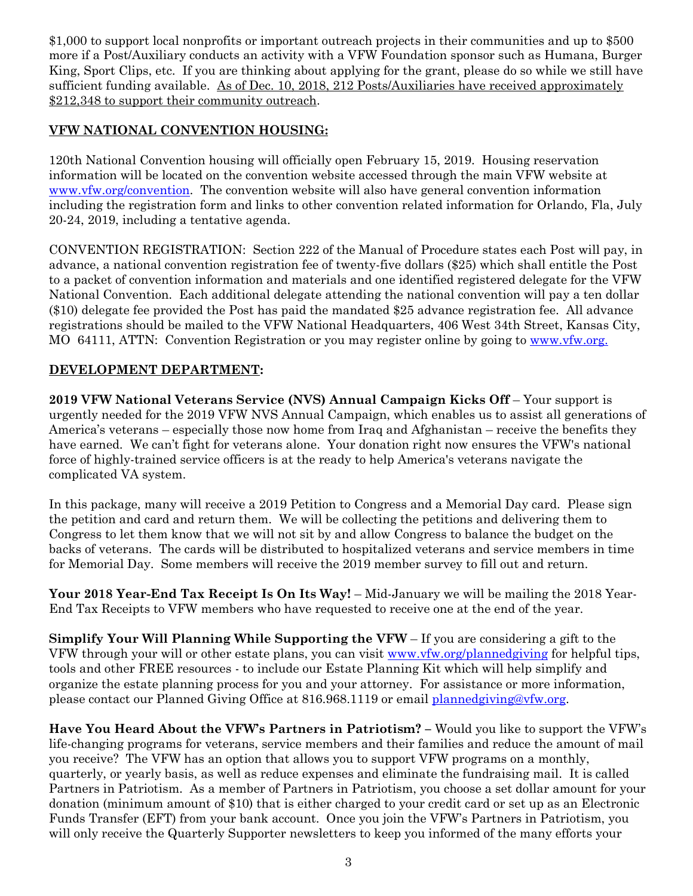\$1,000 to support local nonprofits or important outreach projects in their communities and up to \$500 more if a Post/Auxiliary conducts an activity with a VFW Foundation sponsor such as Humana, Burger King, Sport Clips, etc. If you are thinking about applying for the grant, please do so while we still have sufficient funding available. As of Dec. 10, 2018, 212 Posts/Auxiliaries have received approximately \$212,348 to support their community outreach.

#### **VFW NATIONAL CONVENTION HOUSING:**

120th National Convention housing will officially open February 15, 2019. Housing reservation information will be located on the convention website accessed through the main VFW website at [www.vfw.org/](http://www.vfw.org/)convention. The convention website will also have general convention information including the registration form and links to other convention related information for Orlando, Fla, July 20-24, 2019, including a tentative agenda.

CONVENTION REGISTRATION: Section 222 of the Manual of Procedure states each Post will pay, in advance, a national convention registration fee of twenty-five dollars (\$25) which shall entitle the Post to a packet of convention information and materials and one identified registered delegate for the VFW National Convention. Each additional delegate attending the national convention will pay a ten dollar (\$10) delegate fee provided the Post has paid the mandated \$25 advance registration fee. All advance registrations should be mailed to the VFW National Headquarters, 406 West 34th Street, Kansas City, MO 64111, ATTN: Convention Registration or you may register online by going to [www.vfw.org.](http://www.vfw.org/)

#### **DEVELOPMENT DEPARTMENT:**

**2019 VFW National Veterans Service (NVS) Annual Campaign Kicks Off** – Your support is urgently needed for the 2019 VFW NVS Annual Campaign, which enables us to assist all generations of America's veterans – especially those now home from Iraq and Afghanistan – receive the benefits they have earned. We can't fight for veterans alone. Your donation right now ensures the VFW's national force of highly-trained service officers is at the ready to help America's veterans navigate the complicated VA system.

In this package, many will receive a 2019 Petition to Congress and a Memorial Day card. Please sign the petition and card and return them. We will be collecting the petitions and delivering them to Congress to let them know that we will not sit by and allow Congress to balance the budget on the backs of veterans. The cards will be distributed to hospitalized veterans and service members in time for Memorial Day. Some members will receive the 2019 member survey to fill out and return.

**Your 2018 Year-End Tax Receipt Is On Its Way!** – Mid-January we will be mailing the 2018 Year-End Tax Receipts to VFW members who have requested to receive one at the end of the year.

**Simplify Your Will Planning While Supporting the VFW** – If you are considering a gift to the VFW through your will or other estate plans, you can visit [www.vfw.org/plannedgiving](http://www.vfw.org/plannedgiving) for helpful tips, tools and other FREE resources - to include our Estate Planning Kit which will help simplify and organize the estate planning process for you and your attorney. For assistance or more information, please contact our Planned Giving Office at 816.968.1119 or email [plannedgiving@vfw.org.](mailto:plannedgiving@vfw.org)

**Have You Heard About the VFW's Partners in Patriotism? –** Would you like to support the VFW's life-changing programs for veterans, service members and their families and reduce the amount of mail you receive? The VFW has an option that allows you to support VFW programs on a monthly, quarterly, or yearly basis, as well as reduce expenses and eliminate the fundraising mail. It is called Partners in Patriotism. As a member of Partners in Patriotism, you choose a set dollar amount for your donation (minimum amount of \$10) that is either charged to your credit card or set up as an Electronic Funds Transfer (EFT) from your bank account. Once you join the VFW's Partners in Patriotism, you will only receive the Quarterly Supporter newsletters to keep you informed of the many efforts your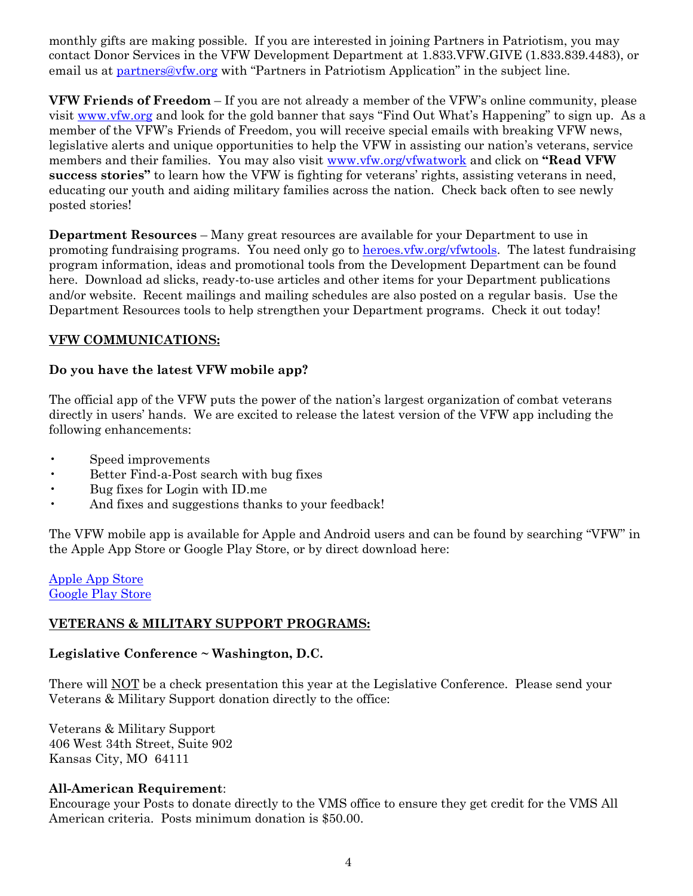monthly gifts are making possible. If you are interested in joining Partners in Patriotism, you may contact Donor Services in the VFW Development Department at 1.833.VFW.GIVE (1.833.839.4483), or email us at [partners@vfw.org](mailto:partners@vfw.org) with "Partners in Patriotism Application" in the subject line.

**VFW Friends of Freedom** – If you are not already a member of the VFW's online community, please visit [www.vfw.org](http://www.vfw.org/) and look for the gold banner that says "Find Out What's Happening" to sign up. As a member of the VFW's Friends of Freedom, you will receive special emails with breaking VFW news, legislative alerts and unique opportunities to help the VFW in assisting our nation's veterans, service members and their families. You may also visit [www.vfw.org/vfwatwork](http://www.vfw.org/vfwatwork) and click on **"Read VFW success stories"** to learn how the VFW is fighting for veterans' rights, assisting veterans in need, educating our youth and aiding military families across the nation. Check back often to see newly posted stories!

**Department Resources** – Many great resources are available for your Department to use in promoting fundraising programs. You need only go to heroes. vfw.org/vfwtools. The latest fundraising program information, ideas and promotional tools from the Development Department can be found here. Download ad slicks, ready-to-use articles and other items for your Department publications and/or website. Recent mailings and mailing schedules are also posted on a regular basis. Use the Department Resources tools to help strengthen your Department programs. Check it out today!

#### **VFW COMMUNICATIONS:**

#### **Do you have the latest VFW mobile app?**

The official app of the VFW puts the power of the nation's largest organization of combat veterans directly in users' hands. We are excited to release the latest version of the VFW app including the following enhancements:

- Speed improvements
- Better Find-a-Post search with bug fixes
- Bug fixes for Login with ID.me
- And fixes and suggestions thanks to your feedback!

The VFW mobile app is available for Apple and Android users and can be found by searching "VFW" in the Apple App Store or Google Play Store, or by direct download here:

[Apple App Store](https://appsto.re/us/qKYXfb.i) [Google Play Store](https://play.google.com/store/apps/details?id=com.ajisoftware.vfw.stage)

#### **VETERANS & MILITARY SUPPORT PROGRAMS:**

#### **Legislative Conference ~ Washington, D.C.**

There will NOT be a check presentation this year at the Legislative Conference. Please send your Veterans & Military Support donation directly to the office:

Veterans & Military Support 406 West 34th Street, Suite 902 Kansas City, MO 64111

#### **All-American Requirement**:

Encourage your Posts to donate directly to the VMS office to ensure they get credit for the VMS All American criteria. Posts minimum donation is \$50.00.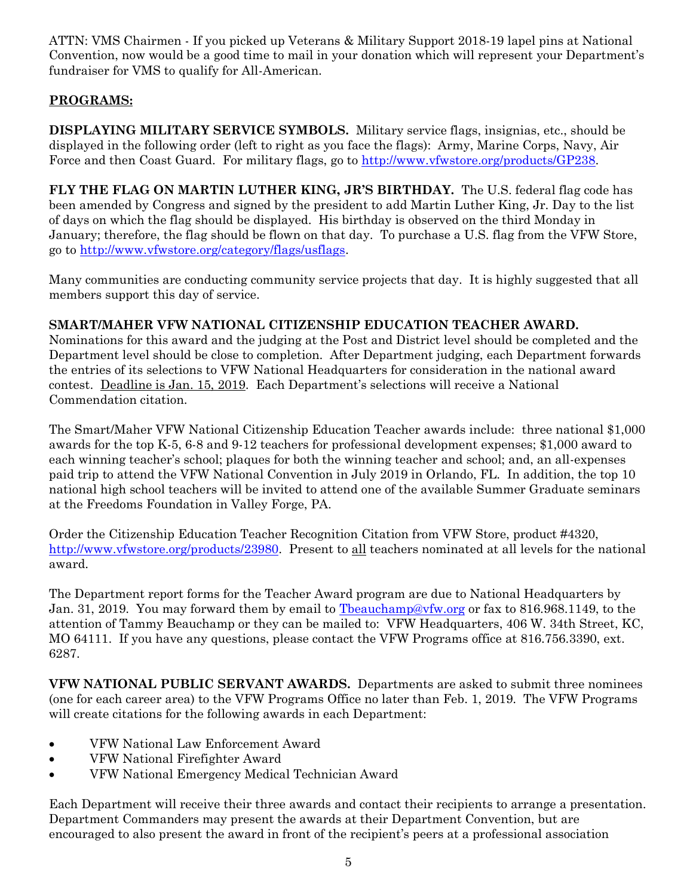ATTN: VMS Chairmen - If you picked up Veterans & Military Support 2018-19 lapel pins at National Convention, now would be a good time to mail in your donation which will represent your Department's fundraiser for VMS to qualify for All-American.

#### **PROGRAMS:**

**DISPLAYING MILITARY SERVICE SYMBOLS.** Military service flags, insignias, etc., should be displayed in the following order (left to right as you face the flags): Army, Marine Corps, Navy, Air Force and then Coast Guard. For military flags, go to [http://www.vfwstore.org/products/GP238.](http://www.vfwstore.org/products/GP238)

**FLY THE FLAG ON MARTIN LUTHER KING, JR'S BIRTHDAY.** The U.S. federal flag code has been amended by Congress and signed by the president to add Martin Luther King, Jr. Day to the list of days on which the flag should be displayed. His birthday is observed on the third Monday in January; therefore, the flag should be flown on that day. To purchase a U.S. flag from the VFW Store, go to [http://www.vfwstore.org/category/flags/usflags.](http://www.vfwstore.org/category/flags/usflags)

Many communities are conducting community service projects that day. It is highly suggested that all members support this day of service.

#### **SMART/MAHER VFW NATIONAL CITIZENSHIP EDUCATION TEACHER AWARD.**

Nominations for this award and the judging at the Post and District level should be completed and the Department level should be close to completion. After Department judging, each Department forwards the entries of its selections to VFW National Headquarters for consideration in the national award contest. Deadline is Jan. 15, 2019. Each Department's selections will receive a National Commendation citation.

The Smart/Maher VFW National Citizenship Education Teacher awards include: three national \$1,000 awards for the top K-5, 6-8 and 9-12 teachers for professional development expenses; \$1,000 award to each winning teacher's school; plaques for both the winning teacher and school; and, an all-expenses paid trip to attend the VFW National Convention in July 2019 in Orlando, FL. In addition, the top 10 national high school teachers will be invited to attend one of the available Summer Graduate seminars at the Freedoms Foundation in Valley Forge, PA.

Order the Citizenship Education Teacher Recognition Citation from VFW Store, product #4320, [http://www.vfwstore.org/products/23980.](http://www.vfwstore.org/products/23980) Present to all teachers nominated at all levels for the national award.

The Department report forms for the Teacher Award program are due to National Headquarters by Jan. 31, 2019. You may forward them by email to Theauchamp@vfw.org or fax to 816.968.1149, to the attention of Tammy Beauchamp or they can be mailed to: VFW Headquarters, 406 W. 34th Street, KC, MO 64111. If you have any questions, please contact the VFW Programs office at 816.756.3390, ext. 6287.

**VFW NATIONAL PUBLIC SERVANT AWARDS.** Departments are asked to submit three nominees (one for each career area) to the VFW Programs Office no later than Feb. 1, 2019. The VFW Programs will create citations for the following awards in each Department:

- VFW National Law Enforcement Award
- VFW National Firefighter Award
- VFW National Emergency Medical Technician Award

Each Department will receive their three awards and contact their recipients to arrange a presentation. Department Commanders may present the awards at their Department Convention, but are encouraged to also present the award in front of the recipient's peers at a professional association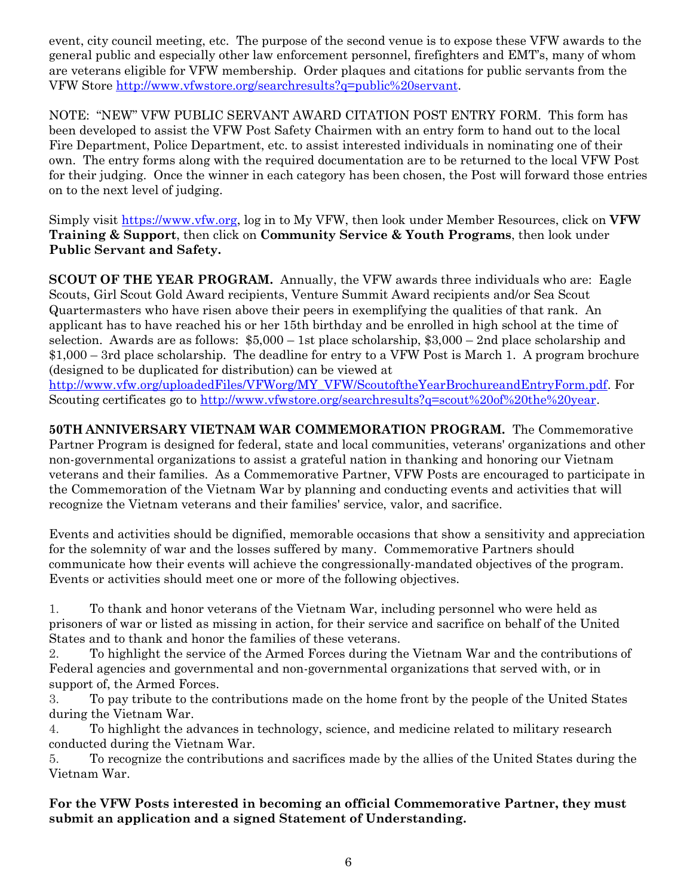event, city council meeting, etc. The purpose of the second venue is to expose these VFW awards to the general public and especially other law enforcement personnel, firefighters and EMT's, many of whom are veterans eligible for VFW membership. Order plaques and citations for public servants from the VFW Store [http://www.vfwstore.org/searchresults?q=public%20servant.](http://www.vfwstore.org/searchresults?q=public%20servant)

NOTE: "NEW" VFW PUBLIC SERVANT AWARD CITATION POST ENTRY FORM. This form has been developed to assist the VFW Post Safety Chairmen with an entry form to hand out to the local Fire Department, Police Department, etc. to assist interested individuals in nominating one of their own. The entry forms along with the required documentation are to be returned to the local VFW Post for their judging. Once the winner in each category has been chosen, the Post will forward those entries on to the next level of judging.

Simply visit [https://www.vfw.org,](https://www.vfw.org/) log in to My VFW, then look under Member Resources, click on **VFW Training & Support**, then click on **Community Service & Youth Programs**, then look under **Public Servant and Safety.**

**SCOUT OF THE YEAR PROGRAM.** Annually, the VFW awards three individuals who are: Eagle Scouts, Girl Scout Gold Award recipients, Venture Summit Award recipients and/or Sea Scout Quartermasters who have risen above their peers in exemplifying the qualities of that rank. An applicant has to have reached his or her 15th birthday and be enrolled in high school at the time of selection. Awards are as follows: \$5,000 – 1st place scholarship, \$3,000 – 2nd place scholarship and \$1,000 – 3rd place scholarship. The deadline for entry to a VFW Post is March 1. A program brochure (designed to be duplicated for distribution) can be viewed at [http://www.vfw.org/uploadedFiles/VFWorg/MY\\_VFW/ScoutoftheYearBrochureandEntryForm.pdf.](http://www.vfw.org/uploadedFiles/VFWorg/MY_VFW/ScoutoftheYearBrochureandEntryForm.pdf) For

Scouting certificates go to [http://www.vfwstore.org/searchresults?q=scout%20of%20the%20year.](http://www.vfwstore.org/searchresults?q=scout%20of%20the%20year)

**50TH ANNIVERSARY VIETNAM WAR COMMEMORATION PROGRAM.** The Commemorative Partner Program is designed for federal, state and local communities, veterans' organizations and other non-governmental organizations to assist a grateful nation in thanking and honoring our Vietnam veterans and their families. As a Commemorative Partner, VFW Posts are encouraged to participate in the Commemoration of the Vietnam War by planning and conducting events and activities that will recognize the Vietnam veterans and their families' service, valor, and sacrifice.

Events and activities should be dignified, memorable occasions that show a sensitivity and appreciation for the solemnity of war and the losses suffered by many. Commemorative Partners should communicate how their events will achieve the congressionally-mandated objectives of the program. Events or activities should meet one or more of the following objectives.

1. To thank and honor veterans of the Vietnam War, including personnel who were held as prisoners of war or listed as missing in action, for their service and sacrifice on behalf of the United States and to thank and honor the families of these veterans.

2. To highlight the service of the Armed Forces during the Vietnam War and the contributions of Federal agencies and governmental and non-governmental organizations that served with, or in support of, the Armed Forces.

3. To pay tribute to the contributions made on the home front by the people of the United States during the Vietnam War.

4. To highlight the advances in technology, science, and medicine related to military research conducted during the Vietnam War.

5. To recognize the contributions and sacrifices made by the allies of the United States during the Vietnam War.

**For the VFW Posts interested in becoming an official Commemorative Partner, they must submit an application and a signed Statement of Understanding.**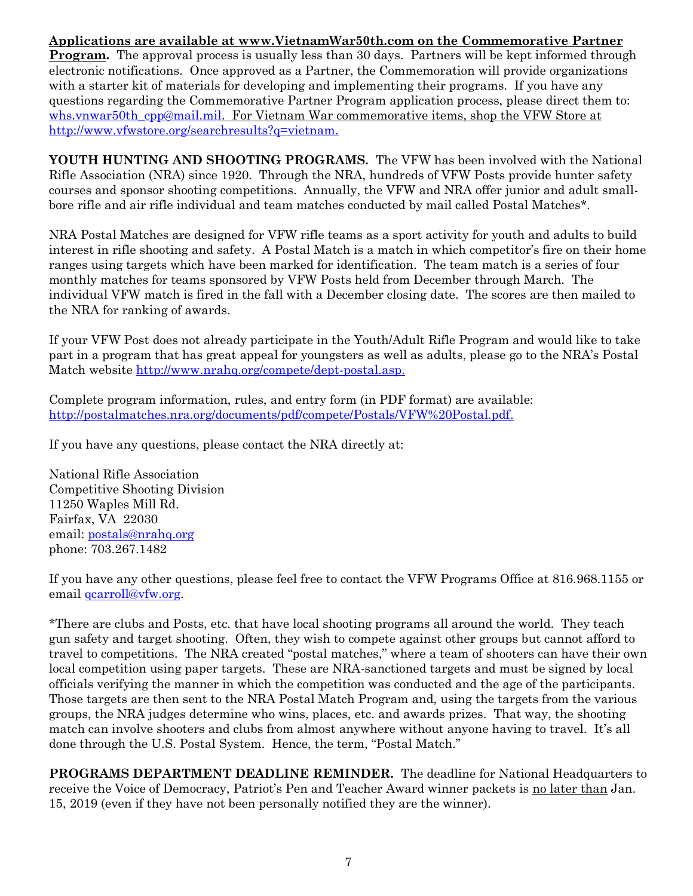**Applications are available at [www.VietnamWar50th.com](http://www.vietnamwar50th.com/) on the Commemorative Partner Program.** The approval process is usually less than 30 days. Partners will be kept informed through electronic notifications. Once approved as a Partner, the Commemoration will provide organizations with a starter kit of materials for developing and implementing their programs. If you have any questions regarding the Commemorative Partner Program application process, please direct them to: [whs.vnwar50th\\_cpp@mail.mil.](mailto:whs.vnwar50th_cpp@mail.mil) For Vietnam War commemorative items, shop the VFW Store at [http://www.vfwstore.org/searchresults?q=vietnam.](http://www.vfwstore.org/searchresults?q=vietnam)

**YOUTH HUNTING AND SHOOTING PROGRAMS.** The VFW has been involved with the National Rifle Association (NRA) since 1920. Through the NRA, hundreds of VFW Posts provide hunter safety courses and sponsor shooting competitions. Annually, the VFW and NRA offer junior and adult smallbore rifle and air rifle individual and team matches conducted by mail called Postal Matches\*.

NRA Postal Matches are designed for VFW rifle teams as a sport activity for youth and adults to build interest in rifle shooting and safety. A Postal Match is a match in which competitor's fire on their home ranges using targets which have been marked for identification. The team match is a series of four monthly matches for teams sponsored by VFW Posts held from December through March. The individual VFW match is fired in the fall with a December closing date. The scores are then mailed to the NRA for ranking of awards.

If your VFW Post does not already participate in the Youth/Adult Rifle Program and would like to take part in a program that has great appeal for youngsters as well as adults, please go to the NRA's Postal Match website [http://www.nrahq.org/compete/dept-postal.asp.](http://www.nrahq.org/compete/dept-postal.asp)

Complete program information, rules, and entry form (in PDF format) are available: [http://postalmatches.nra.org/documents/pdf/compete/Postals/VFW%20Postal.pdf.](http://postalmatches.nra.org/documents/pdf/compete/Postals/VFW%20Postal.pdf)

If you have any questions, please contact the NRA directly at:

National Rifle Association Competitive Shooting Division 11250 Waples Mill Rd. Fairfax, VA 22030 email: [postals@nrahq.org](mailto:postals@nrahq.org) phone: 703.267.1482

If you have any other questions, please feel free to contact the VFW Programs Office at 816.968.1155 or email <u>qcarroll@vfw.org</u>.

\*There are clubs and Posts, etc. that have local shooting programs all around the world. They teach gun safety and target shooting. Often, they wish to compete against other groups but cannot afford to travel to competitions. The NRA created "postal matches," where a team of shooters can have their own local competition using paper targets. These are NRA-sanctioned targets and must be signed by local officials verifying the manner in which the competition was conducted and the age of the participants. Those targets are then sent to the NRA Postal Match Program and, using the targets from the various groups, the NRA judges determine who wins, places, etc. and awards prizes. That way, the shooting match can involve shooters and clubs from almost anywhere without anyone having to travel. It's all done through the U.S. Postal System. Hence, the term, "Postal Match."

**PROGRAMS DEPARTMENT DEADLINE REMINDER.** The deadline for National Headquarters to receive the Voice of Democracy, Patriot's Pen and Teacher Award winner packets is no later than Jan. 15, 2019 (even if they have not been personally notified they are the winner).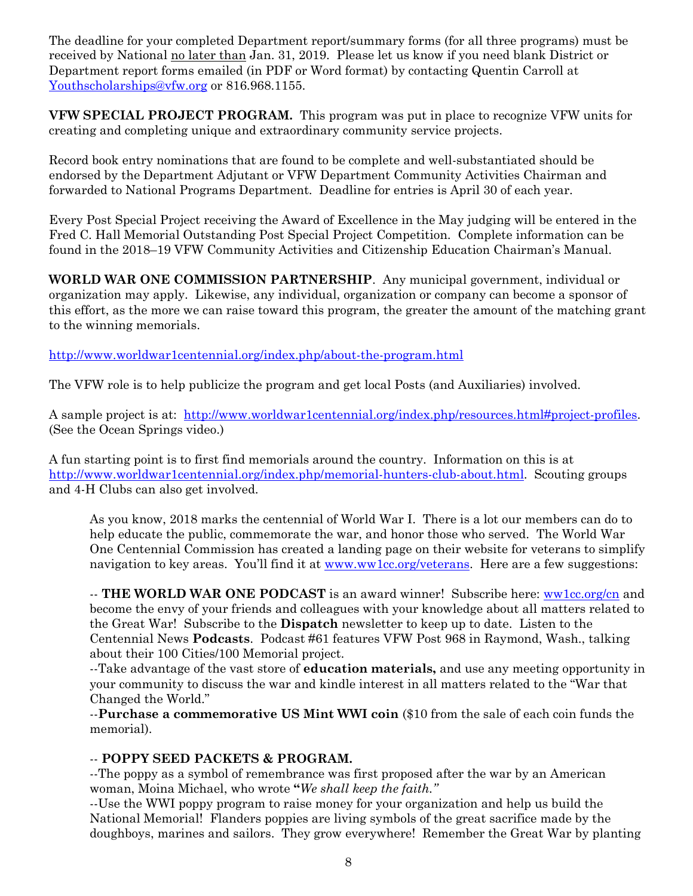The deadline for your completed Department report/summary forms (for all three programs) must be received by National no later than Jan. 31, 2019. Please let us know if you need blank District or Department report forms emailed (in PDF or Word format) by contacting Quentin Carroll at [Youthscholarships@vfw.org](mailto:Youthscholarships@vfw.org) or 816.968.1155.

**VFW SPECIAL PROJECT PROGRAM.** This program was put in place to recognize VFW units for creating and completing unique and extraordinary community service projects.

Record book entry nominations that are found to be complete and well-substantiated should be endorsed by the Department Adjutant or VFW Department Community Activities Chairman and forwarded to National Programs Department. Deadline for entries is April 30 of each year.

Every Post Special Project receiving the Award of Excellence in the May judging will be entered in the Fred C. Hall Memorial Outstanding Post Special Project Competition. Complete information can be found in the 2018–19 VFW Community Activities and Citizenship Education Chairman's Manual.

**WORLD WAR ONE COMMISSION PARTNERSHIP**. Any municipal government, individual or organization may apply. Likewise, any individual, organization or company can become a sponsor of this effort, as the more we can raise toward this program, the greater the amount of the matching grant to the winning memorials.

<http://www.worldwar1centennial.org/index.php/about-the-program.html>

The VFW role is to help publicize the program and get local Posts (and Auxiliaries) involved.

A sample project is at: [http://www.worldwar1centennial.org/index.php/resources.html#project-profiles.](http://www.worldwar1centennial.org/index.php/resources.html#project-profiles) (See the Ocean Springs video.)

A fun starting point is to first find memorials around the country. Information on this is at [http://www.worldwar1centennial.org/index.php/memorial-hunters-club-about.html.](http://www.worldwar1centennial.org/index.php/memorial-hunters-club-about.html) Scouting groups and 4-H Clubs can also get involved.

As you know, 2018 marks the centennial of World War I. There is a lot our members can do to help educate the public, commemorate the war, and honor those who served. The World War One Centennial Commission has created a landing page on their website for veterans to simplify navigation to key areas. You'll find it at [www.ww1cc.org/veterans.](http://www.ww1cc.org/veterans) Here are a few suggestions:

-- **THE WORLD WAR ONE PODCAST** is an award winner! Subscribe here: [ww1cc.org/cn](http://ww1cc.org/cn) and become the envy of your friends and colleagues with your knowledge about all matters related to the Great War!Subscribe to the **Dispatch** newsletter to keep up to date. Listen to the Centennial News **Podcasts**. Podcast #61 features VFW Post 968 in Raymond, Wash., talking about their 100 Cities/100 Memorial project.

--Take advantage of the vast store of **education materials,** and use any meeting opportunity in your community to discuss the war and kindle interest in all matters related to the "War that Changed the World."

--**Purchase a commemorative US Mint WWI coin** (\$10 from the sale of each coin funds the memorial).

#### -- **POPPY SEED PACKETS & PROGRAM.**

--The poppy as a symbol of remembrance was first proposed after the war by an American woman, Moina Michael, who wrote **"***We shall keep the faith."* 

--Use the WWI poppy program to raise money for your organization and help us build the National Memorial! Flanders poppies are living symbols of the great sacrifice made by the doughboys, marines and sailors. They grow everywhere! Remember the Great War by planting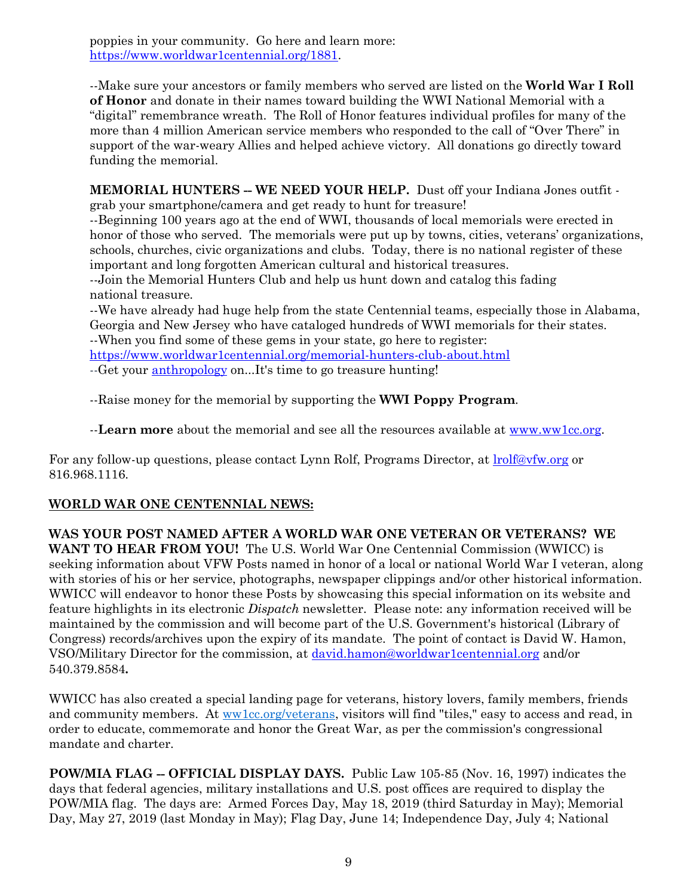poppies in your community. Go here and learn more: [https://www.worldwar1centennial.org/1881.](https://www.worldwar1centennial.org/1881)

--Make sure your ancestors or family members who served are listed on the **World War I Roll of Honor** and donate in their names toward building the WWI National Memorial with a "digital" remembrance wreath. The Roll of Honor features individual profiles for many of the more than 4 million American service members who responded to the call of "Over There" in support of the war-weary Allies and helped achieve victory. All donations go directly toward funding the memorial.

**MEMORIAL HUNTERS -- WE NEED YOUR HELP.** Dust off your Indiana Jones outfit -

grab your smartphone/camera and get ready to hunt for treasure! --Beginning 100 years ago at the end of WWI, thousands of local memorials were erected in honor of those who served. The memorials were put up by towns, cities, veterans' organizations, schools, churches, civic organizations and clubs. Today, there is no national register of these important and long forgotten American cultural and historical treasures.

--Join the Memorial Hunters Club and help us hunt down and catalog this fading national treasure.

--We have already had huge help from the state Centennial teams, especially those in Alabama, Georgia and New Jersey who have cataloged hundreds of WWI memorials for their states.

--When you find some of these gems in your state, go here to register:

<https://www.worldwar1centennial.org/memorial-hunters-club-about.html>

--Get your [anthropology](http://www.merriam-webster.com/dictionary/anthropology) on...It's time to go treasure hunting!

--Raise money for the memorial by supporting the **WWI Poppy Program**.

--**Learn more** about the memorial and see all the resources available at [www.ww1cc.org.](http://www.ww1cc.org/)

For any follow-up questions, please contact Lynn Rolf, Programs Director, at **lrolf@vfw.org** or 816.968.1116.

#### **WORLD WAR ONE CENTENNIAL NEWS:**

#### **WAS YOUR POST NAMED AFTER A WORLD WAR ONE VETERAN OR VETERANS? WE**

**WANT TO HEAR FROM YOU!** The U.S. World War One Centennial Commission (WWICC) is seeking information about VFW Posts named in honor of a local or national World War I veteran, along with stories of his or her service, photographs, newspaper clippings and/or other historical information. WWICC will endeavor to honor these Posts by showcasing this special information on its website and feature highlights in its electronic *Dispatch* newsletter. Please note: any information received will be maintained by the commission and will become part of the U.S. Government's historical (Library of Congress) records/archives upon the expiry of its mandate. The point of contact is David W. Hamon, VSO/Military Director for the commission, at [david.hamon@worldwar1centennial.org](mailto:david.hamon@worldwar1centennial.org) and/or 540.379.8584**.**

WWICC has also created a special landing page for veterans, history lovers, family members, friends and community members. At [ww1cc.org/veterans,](http://ww1cc.org/veterans) visitors will find "tiles," easy to access and read, in order to educate, commemorate and honor the Great War, as per the commission's congressional mandate and charter.

**POW/MIA FLAG -- OFFICIAL DISPLAY DAYS.** Public Law 105-85 (Nov. 16, 1997) indicates the days that federal agencies, military installations and U.S. post offices are required to display the POW/MIA flag. The days are: Armed Forces Day, May 18, 2019 (third Saturday in May); Memorial Day, May 27, 2019 (last Monday in May); Flag Day, June 14; Independence Day, July 4; National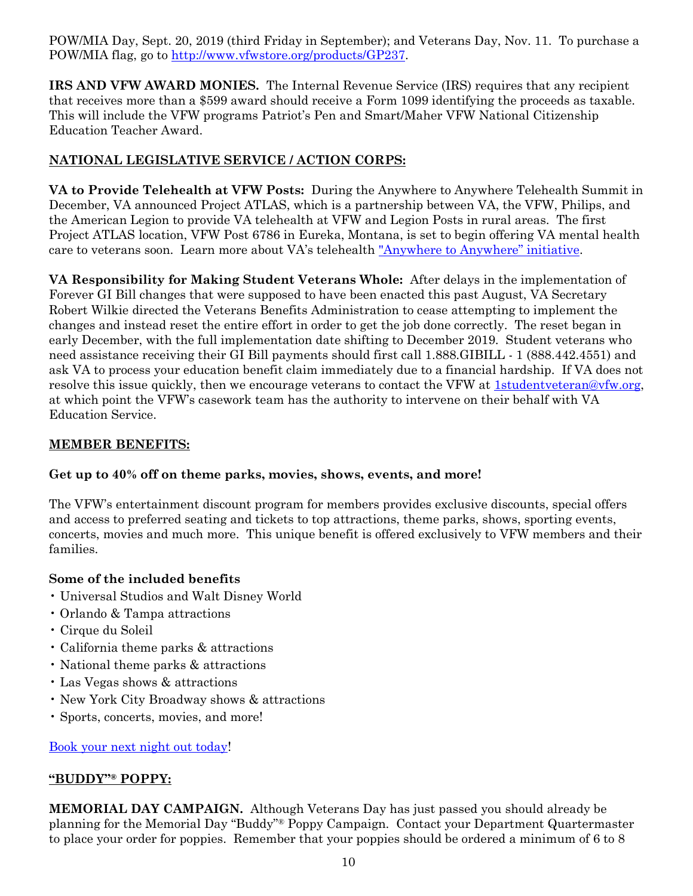POW/MIA Day, Sept. 20, 2019 (third Friday in September); and Veterans Day, Nov. 11. To purchase a POW/MIA flag, go to [http://www.vfwstore.org/products/GP237.](http://www.vfwstore.org/products/GP237)

**IRS AND VFW AWARD MONIES.** The Internal Revenue Service (IRS) requires that any recipient that receives more than a \$599 award should receive a Form 1099 identifying the proceeds as taxable. This will include the VFW programs Patriot's Pen and Smart/Maher VFW National Citizenship Education Teacher Award.

#### **NATIONAL LEGISLATIVE SERVICE / ACTION CORPS:**

**VA to Provide Telehealth at VFW Posts:** During the Anywhere to Anywhere Telehealth Summit in December, VA announced Project ATLAS, which is a partnership between VA, the VFW, Philips, and the American Legion to provide VA telehealth at VFW and Legion Posts in rural areas. The first Project ATLAS location, VFW Post 6786 in Eureka, Montana, is set to begin offering VA mental health care to veterans soon. Learn more about VA's telehealth ["Anywhere to Anywhere" initiative](https://connectedcare.va.gov/).

**VA Responsibility for Making Student Veterans Whole:** After delays in the implementation of Forever GI Bill changes that were supposed to have been enacted this past August, VA Secretary Robert Wilkie directed the Veterans Benefits Administration to cease attempting to implement the changes and instead reset the entire effort in order to get the job done correctly. The reset began in early December, with the full implementation date shifting to December 2019. Student veterans who need assistance receiving their GI Bill payments should first call 1.888.GIBILL - 1 (888.442.4551) and ask VA to process your education benefit claim immediately due to a financial hardship. If VA does not resolve this issue quickly, then we encourage veterans to contact the VFW at [1studentveteran@vfw.org,](mailto:1studentveteran@vfw.org) at which point the VFW's casework team has the authority to intervene on their behalf with VA Education Service.

#### **MEMBER BENEFITS:**

#### **Get up to 40% off on theme parks, movies, shows, events, and more!**

The VFW's entertainment discount program for members provides exclusive discounts, special offers and access to preferred seating and tickets to top attractions, theme parks, shows, sporting events, concerts, movies and much more. This unique benefit is offered exclusively to VFW members and their families.

#### **Some of the included benefits**

- Universal Studios and Walt Disney World
- Orlando & Tampa attractions
- Cirque du Soleil
- California theme parks & attractions
- National theme parks & attractions
- Las Vegas shows & attractions
- New York City Broadway shows & attractions
- Sports, concerts, movies, and more!

#### [Book your next night out today!](http://bit.ly/2KLfvIp)

#### **"BUDDY"® POPPY:**

**MEMORIAL DAY CAMPAIGN.** Although Veterans Day has just passed you should already be planning for the Memorial Day "Buddy"® Poppy Campaign. Contact your Department Quartermaster to place your order for poppies. Remember that your poppies should be ordered a minimum of 6 to 8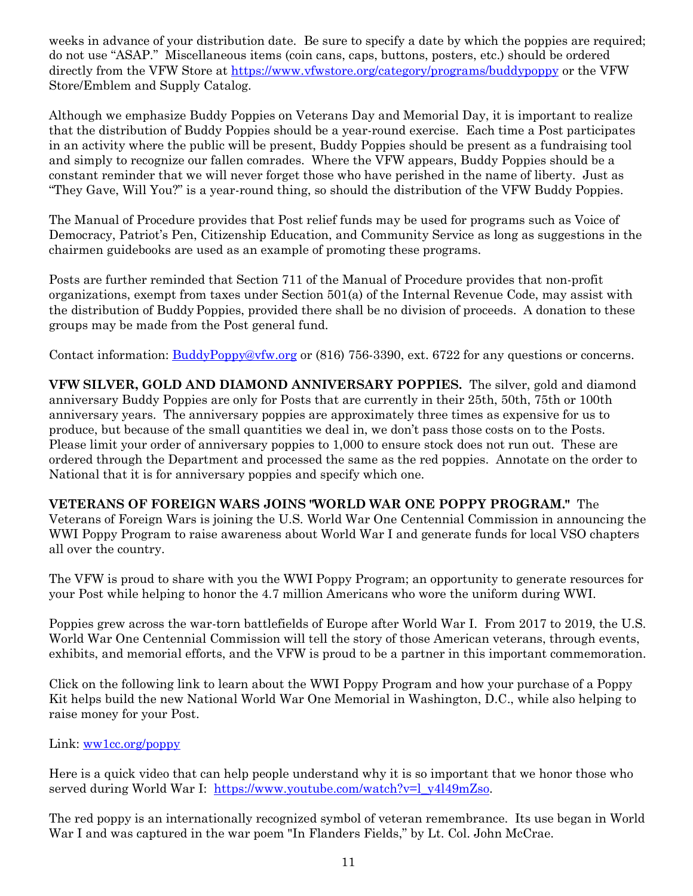weeks in advance of your distribution date. Be sure to specify a date by which the poppies are required; do not use "ASAP." Miscellaneous items (coin cans, caps, buttons, posters, etc.) should be ordered directly from the VFW Store at<https://www.vfwstore.org/category/programs/buddypoppy> or the VFW Store/Emblem and Supply Catalog.

Although we emphasize Buddy Poppies on Veterans Day and Memorial Day, it is important to realize that the distribution of Buddy Poppies should be a year-round exercise. Each time a Post participates in an activity where the public will be present, Buddy Poppies should be present as a fundraising tool and simply to recognize our fallen comrades. Where the VFW appears, Buddy Poppies should be a constant reminder that we will never forget those who have perished in the name of liberty. Just as "They Gave, Will You?" is a year-round thing, so should the distribution of the VFW Buddy Poppies.

The Manual of Procedure provides that Post relief funds may be used for programs such as Voice of Democracy, Patriot's Pen, Citizenship Education, and Community Service as long as suggestions in the chairmen guidebooks are used as an example of promoting these programs.

Posts are further reminded that Section 711 of the Manual of Procedure provides that non-profit organizations, exempt from taxes under Section 501(a) of the Internal Revenue Code, may assist with the distribution of Buddy Poppies, provided there shall be no division of proceeds. A donation to these groups may be made from the Post general fund.

Contact information: **BuddyPoppy@vfw.org or** (816) 756-3390, ext. 6722 for any questions or concerns.

**VFW SILVER, GOLD AND DIAMOND ANNIVERSARY POPPIES.** The silver, gold and diamond anniversary Buddy Poppies are only for Posts that are currently in their 25th, 50th, 75th or 100th anniversary years. The anniversary poppies are approximately three times as expensive for us to produce, but because of the small quantities we deal in, we don't pass those costs on to the Posts. Please limit your order of anniversary poppies to 1,000 to ensure stock does not run out. These are ordered through the Department and processed the same as the red poppies. Annotate on the order to National that it is for anniversary poppies and specify which one.

**VETERANS OF FOREIGN WARS JOINS "WORLD WAR ONE POPPY PROGRAM."** The Veterans of Foreign Wars is joining the U.S. World War One Centennial Commission in announcing the WWI Poppy Program to raise awareness about World War I and generate funds for local VSO chapters all over the country.

The VFW is proud to share with you the WWI Poppy Program; an opportunity to generate resources for your Post while helping to honor the 4.7 million Americans who wore the uniform during WWI.

Poppies grew across the war-torn battlefields of Europe after World War I. From 2017 to 2019, the U.S. World War One Centennial Commission will tell the story of those American veterans, through events, exhibits, and memorial efforts, and the VFW is proud to be a partner in this important commemoration.

Click on the following link to learn about the WWI Poppy Program and how your purchase of a Poppy Kit helps build the new National World War One Memorial in Washington, D.C., while also helping to raise money for your Post.

#### Link: [ww1cc.org/poppy](http://ww1cc.org/poppy)

Here is a quick video that can help people understand why it is so important that we honor those who served during World War I: [https://www.youtube.com/watch?v=l\\_y4l49mZso.](https://www.youtube.com/watch?v=l_y4l49mZso)

The red poppy is an internationally recognized symbol of veteran remembrance. Its use began in World War I and was captured in the war poem "In Flanders Fields," by Lt. Col. John McCrae.